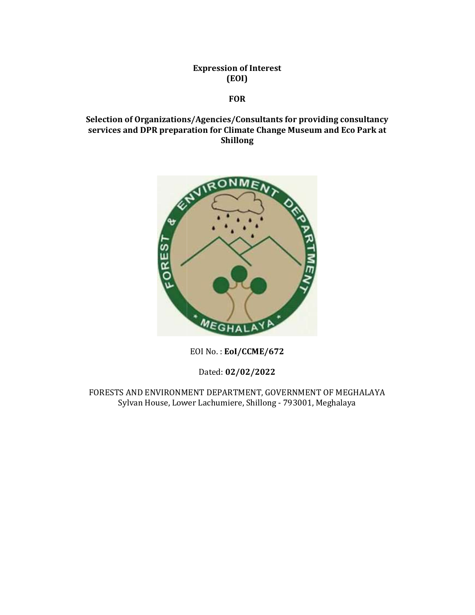Expression of Interest (EOI)

# FOR

# Selection of Organizations/Agencies/Consultants for providing consultancy services and DPR preparation for Climate Change Museum and Eco Park at Shillong



EOI No. : EoI/CCME/672

Dated: 02/02/2022

FORESTS AND ENVIRONMENT DEPARTMENT, GOVERNMENT OF MEGHALAYA Sylvan House, Lower Lachumiere, Shillong - 793001, Meghalaya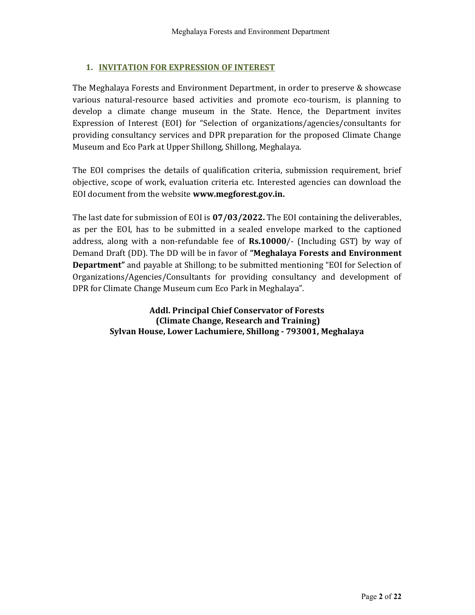# 1. INVITATION FOR EXPRESSION OF INTEREST

The Meghalaya Forests and Environment Department, in order to preserve & showcase various natural-resource based activities and promote eco-tourism, is planning to develop a climate change museum in the State. Hence, the Department invites Expression of Interest (EOI) for "Selection of organizations/agencies/consultants for providing consultancy services and DPR preparation for the proposed Climate Change Museum and Eco Park at Upper Shillong, Shillong, Meghalaya.

The EOI comprises the details of qualification criteria, submission requirement, brief objective, scope of work, evaluation criteria etc. Interested agencies can download the EOI document from the website www.megforest.gov.in.

The last date for submission of EOI is 07/03/2022. The EOI containing the deliverables, as per the EOI, has to be submitted in a sealed envelope marked to the captioned address, along with a non-refundable fee of  $Rs.10000/$ - (Including GST) by way of Demand Draft (DD). The DD will be in favor of "Meghalaya Forests and Environment Department" and payable at Shillong; to be submitted mentioning "EOI for Selection of Organizations/Agencies/Consultants for providing consultancy and development of DPR for Climate Change Museum cum Eco Park in Meghalaya".

> Addl. Principal Chief Conservator of Forests (Climate Change, Research and Training) Sylvan House, Lower Lachumiere, Shillong - 793001, Meghalaya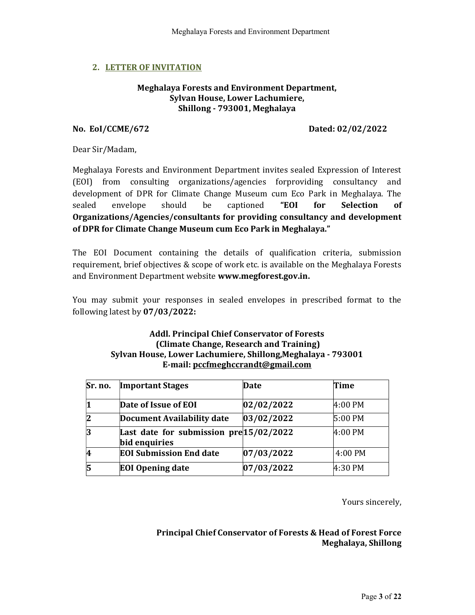## 2. LETTER OF INVITATION

### Meghalaya Forests and Environment Department, Sylvan House, Lower Lachumiere, Shillong - 793001, Meghalaya

### No. EoI/CCME/672 Dated: 02/02/2022

Dear Sir/Madam,

Meghalaya Forests and Environment Department invites sealed Expression of Interest (EOI) from consulting organizations/agencies forproviding consultancy and development of DPR for Climate Change Museum cum Eco Park in Meghalaya. The sealed envelope should be captioned "EOI for Selection of Organizations/Agencies/consultants for providing consultancy and development of DPR for Climate Change Museum cum Eco Park in Meghalaya."

The EOI Document containing the details of qualification criteria, submission requirement, brief objectives & scope of work etc. is available on the Meghalaya Forests and Environment Department website www.megforest.gov.in.

You may submit your responses in sealed envelopes in prescribed format to the following latest by 07/03/2022:

## Addl. Principal Chief Conservator of Forests (Climate Change, Research and Training) Sylvan House, Lower Lachumiere, Shillong,Meghalaya - 793001 E-mail: pccfmeghccrandt@gmail.com

| Sr. no. | <b>Important Stages</b>                                  | Date       | Time      |
|---------|----------------------------------------------------------|------------|-----------|
|         | Date of Issue of EOI                                     | 02/02/2022 | 4:00 PM   |
|         | <b>Document Availability date</b>                        | 03/02/2022 | 5:00 PM   |
|         | Last date for submission pre 15/02/2022<br>bid enquiries |            | 4:00 PM   |
|         | <b>EOI Submission End date</b>                           | 07/03/2022 | $4:00$ PM |
|         | <b>EOI</b> Opening date                                  | 07/03/2022 | 4:30 PM   |

Yours sincerely,

## Principal Chief Conservator of Forests & Head of Forest Force Meghalaya, Shillong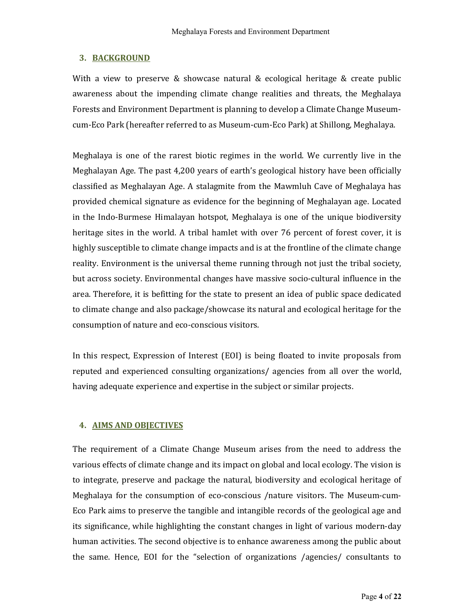## 3. BACKGROUND

With a view to preserve & showcase natural & ecological heritage & create public awareness about the impending climate change realities and threats, the Meghalaya Forests and Environment Department is planning to develop a Climate Change Museumcum-Eco Park (hereafter referred to as Museum-cum-Eco Park) at Shillong, Meghalaya.

Meghalaya is one of the rarest biotic regimes in the world. We currently live in the Meghalayan Age. The past 4,200 years of earth's geological history have been officially classified as Meghalayan Age. A stalagmite from the Mawmluh Cave of Meghalaya has provided chemical signature as evidence for the beginning of Meghalayan age. Located in the Indo-Burmese Himalayan hotspot, Meghalaya is one of the unique biodiversity heritage sites in the world. A tribal hamlet with over 76 percent of forest cover, it is highly susceptible to climate change impacts and is at the frontline of the climate change reality. Environment is the universal theme running through not just the tribal society, but across society. Environmental changes have massive socio-cultural influence in the area. Therefore, it is befitting for the state to present an idea of public space dedicated to climate change and also package/showcase its natural and ecological heritage for the consumption of nature and eco-conscious visitors.

In this respect, Expression of Interest (EOI) is being floated to invite proposals from reputed and experienced consulting organizations/ agencies from all over the world, having adequate experience and expertise in the subject or similar projects.

# 4. AIMS AND OBJECTIVES

The requirement of a Climate Change Museum arises from the need to address the various effects of climate change and its impact on global and local ecology. The vision is to integrate, preserve and package the natural, biodiversity and ecological heritage of Meghalaya for the consumption of eco-conscious /nature visitors. The Museum-cum-Eco Park aims to preserve the tangible and intangible records of the geological age and its significance, while highlighting the constant changes in light of various modern-day human activities. The second objective is to enhance awareness among the public about the same. Hence, EOI for the "selection of organizations /agencies/ consultants to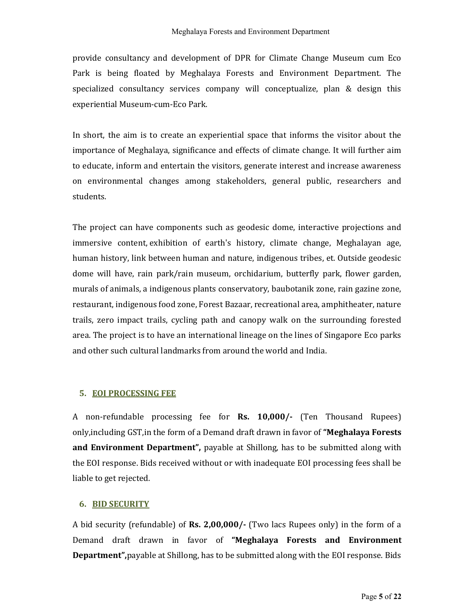provide consultancy and development of DPR for Climate Change Museum cum Eco Park is being floated by Meghalaya Forests and Environment Department. The specialized consultancy services company will conceptualize, plan & design this experiential Museum-cum-Eco Park.

In short, the aim is to create an experiential space that informs the visitor about the importance of Meghalaya, significance and effects of climate change. It will further aim to educate, inform and entertain the visitors, generate interest and increase awareness on environmental changes among stakeholders, general public, researchers and students.

The project can have components such as geodesic dome, interactive projections and immersive content, exhibition of earth's history, climate change, Meghalayan age, human history, link between human and nature, indigenous tribes, et. Outside geodesic dome will have, rain park/rain museum, orchidarium, butterfly park, flower garden, murals of animals, a indigenous plants conservatory, baubotanik zone, rain gazine zone, restaurant, indigenous food zone, Forest Bazaar, recreational area, amphitheater, nature trails, zero impact trails, cycling path and canopy walk on the surrounding forested area. The project is to have an international lineage on the lines of Singapore Eco parks and other such cultural landmarks from around the world and India.

## 5. EOI PROCESSING FEE

A non-refundable processing fee for Rs. 10,000/- (Ten Thousand Rupees) only, including GST, in the form of a Demand draft drawn in favor of "Meghalaya Forests" and Environment Department", payable at Shillong, has to be submitted along with the EOI response. Bids received without or with inadequate EOI processing fees shall be liable to get rejected.

## 6. BID SECURITY

A bid security (refundable) of **Rs. 2,00,000/-** (Two lacs Rupees only) in the form of a Demand draft drawn in favor of "Meghalaya Forests and Environment Department",payable at Shillong, has to be submitted along with the EOI response. Bids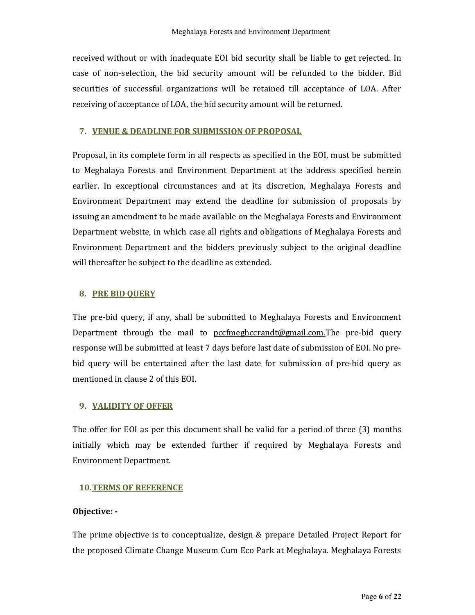received without or with inadequate EOI bid security shall be liable to get rejected. In case of non-selection, the bid security amount will be refunded to the bidder. Bid securities of successful organizations will be retained till acceptance of LOA. After receiving of acceptance of LOA, the bid security amount will be returned.

## 7. VENUE & DEADLINE FOR SUBMISSION OF PROPOSAL

Proposal, in its complete form in all respects as specified in the EOI, must be submitted to Meghalaya Forests and Environment Department at the address specified herein earlier. In exceptional circumstances and at its discretion, Meghalaya Forests and Environment Department may extend the deadline for submission of proposals by issuing an amendment to be made available on the Meghalaya Forests and Environment Department website, in which case all rights and obligations of Meghalaya Forests and Environment Department and the bidders previously subject to the original deadline will thereafter be subject to the deadline as extended.

### 8. PRE BID QUERY

The pre-bid query, if any, shall be submitted to Meghalaya Forests and Environment Department through the mail to pccfmeghccrandt@gmail.com.The pre-bid query response will be submitted at least 7 days before last date of submission of EOI. No prebid query will be entertained after the last date for submission of pre-bid query as mentioned in clause 2 of this EOI.

## 9. VALIDITY OF OFFER

The offer for EOI as per this document shall be valid for a period of three (3) months initially which may be extended further if required by Meghalaya Forests and Environment Department.

### 10.TERMS OF REFERENCE

### Objective: -

The prime objective is to conceptualize, design & prepare Detailed Project Report for the proposed Climate Change Museum Cum Eco Park at Meghalaya. Meghalaya Forests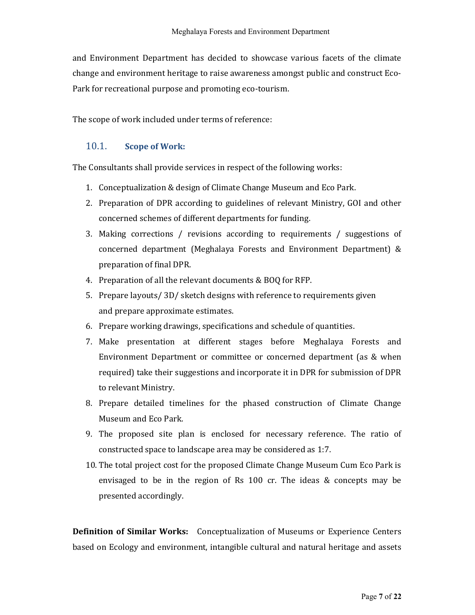and Environment Department has decided to showcase various facets of the climate change and environment heritage to raise awareness amongst public and construct Eco-Park for recreational purpose and promoting eco-tourism.

The scope of work included under terms of reference:

## 10.1. Scope of Work:

The Consultants shall provide services in respect of the following works:

- 1. Conceptualization & design of Climate Change Museum and Eco Park.
- 2. Preparation of DPR according to guidelines of relevant Ministry, GOI and other concerned schemes of different departments for funding.
- 3. Making corrections / revisions according to requirements / suggestions of concerned department (Meghalaya Forests and Environment Department) & preparation of final DPR.
- 4. Preparation of all the relevant documents & BOQ for RFP.
- 5. Prepare layouts/ 3D/ sketch designs with reference to requirements given and prepare approximate estimates.
- 6. Prepare working drawings, specifications and schedule of quantities.
- 7. Make presentation at different stages before Meghalaya Forests and Environment Department or committee or concerned department (as & when required) take their suggestions and incorporate it in DPR for submission of DPR to relevant Ministry.
- 8. Prepare detailed timelines for the phased construction of Climate Change Museum and Eco Park.
- 9. The proposed site plan is enclosed for necessary reference. The ratio of constructed space to landscape area may be considered as 1:7.
- 10. The total project cost for the proposed Climate Change Museum Cum Eco Park is envisaged to be in the region of Rs 100 cr. The ideas & concepts may be presented accordingly.

Definition of Similar Works: Conceptualization of Museums or Experience Centers based on Ecology and environment, intangible cultural and natural heritage and assets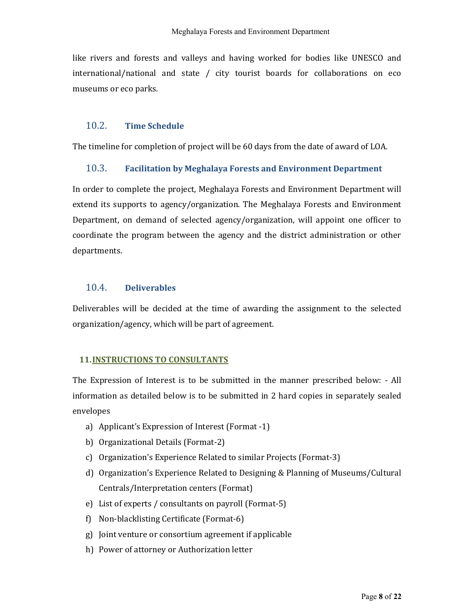like rivers and forests and valleys and having worked for bodies like UNESCO and international/national and state / city tourist boards for collaborations on eco museums or eco parks.

## 10.2. Time Schedule

The timeline for completion of project will be 60 days from the date of award of LOA.

### 10.3. Facilitation by Meghalaya Forests and Environment Department

In order to complete the project, Meghalaya Forests and Environment Department will extend its supports to agency/organization. The Meghalaya Forests and Environment Department, on demand of selected agency/organization, will appoint one officer to coordinate the program between the agency and the district administration or other departments.

## 10.4. Deliverables

Deliverables will be decided at the time of awarding the assignment to the selected organization/agency, which will be part of agreement.

### 11.INSTRUCTIONS TO CONSULTANTS

The Expression of Interest is to be submitted in the manner prescribed below: - All information as detailed below is to be submitted in 2 hard copies in separately sealed envelopes

- a) Applicant's Expression of Interest (Format -1)
- b) Organizational Details (Format-2)
- c) Organization's Experience Related to similar Projects (Format-3)
- d) Organization's Experience Related to Designing & Planning of Museums/Cultural Centrals/Interpretation centers (Format)
- e) List of experts / consultants on payroll (Format-5)
- f) Non-blacklisting Certificate (Format-6)
- g) Joint venture or consortium agreement if applicable
- h) Power of attorney or Authorization letter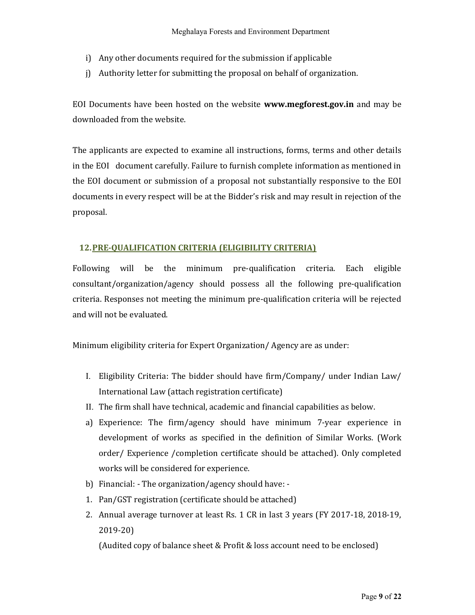- i) Any other documents required for the submission if applicable
- j) Authority letter for submitting the proposal on behalf of organization.

EOI Documents have been hosted on the website www.megforest.gov.in and may be downloaded from the website.

The applicants are expected to examine all instructions, forms, terms and other details in the EOI document carefully. Failure to furnish complete information as mentioned in the EOI document or submission of a proposal not substantially responsive to the EOI documents in every respect will be at the Bidder's risk and may result in rejection of the proposal.

## 12.PRE-QUALIFICATION CRITERIA (ELIGIBILITY CRITERIA)

Following will be the minimum pre-qualification criteria. Each eligible consultant/organization/agency should possess all the following pre-qualification criteria. Responses not meeting the minimum pre-qualification criteria will be rejected and will not be evaluated.

Minimum eligibility criteria for Expert Organization/ Agency are as under:

- I. Eligibility Criteria: The bidder should have firm/Company/ under Indian Law/ International Law (attach registration certificate)
- II. The firm shall have technical, academic and financial capabilities as below.
- a) Experience: The firm/agency should have minimum 7-year experience in development of works as specified in the definition of Similar Works. (Work order/ Experience /completion certificate should be attached). Only completed works will be considered for experience.
- b) Financial: The organization/agency should have: -
- 1. Pan/GST registration (certificate should be attached)
- 2. Annual average turnover at least Rs. 1 CR in last 3 years (FY 2017-18, 2018-19, 2019-20)

(Audited copy of balance sheet & Profit & loss account need to be enclosed)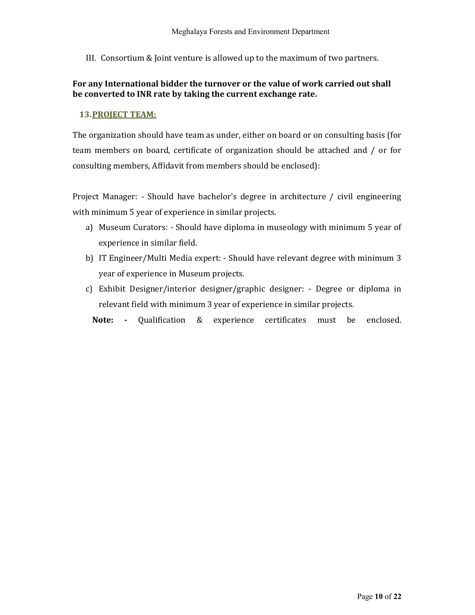III. Consortium & Joint venture is allowed up to the maximum of two partners.

## For any International bidder the turnover or the value of work carried out shall be converted to INR rate by taking the current exchange rate.

### 13.PROJECT TEAM:

The organization should have team as under, either on board or on consulting basis (for team members on board, certificate of organization should be attached and / or for consulting members, Affidavit from members should be enclosed):

Project Manager: - Should have bachelor's degree in architecture / civil engineering with minimum 5 year of experience in similar projects.

- a) Museum Curators: Should have diploma in museology with minimum 5 year of experience in similar field.
- b) IT Engineer/Multi Media expert: Should have relevant degree with minimum 3 year of experience in Museum projects.
- c) Exhibit Designer/interior designer/graphic designer: Degree or diploma in relevant field with minimum 3 year of experience in similar projects.

Note: - Qualification & experience certificates must be enclosed.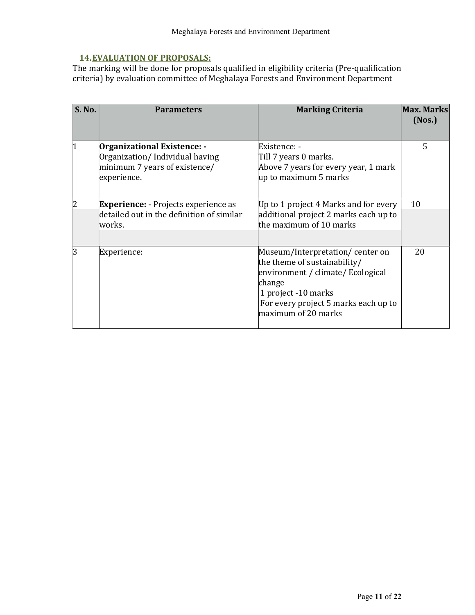# 14.EVALUATION OF PROPOSALS:

The marking will be done for proposals qualified in eligibility criteria (Pre-qualification criteria) by evaluation committee of Meghalaya Forests and Environment Department

| <b>S. No.</b>  | <b>Parameters</b>                                                                                                    | <b>Marking Criteria</b>                                                                                                                                                                              | Max. Marks<br>(Nos.) |
|----------------|----------------------------------------------------------------------------------------------------------------------|------------------------------------------------------------------------------------------------------------------------------------------------------------------------------------------------------|----------------------|
| $\overline{1}$ | <b>Organizational Existence: -</b><br>Organization/Individual having<br>minimum 7 years of existence/<br>experience. | Existence: -<br>Till 7 years 0 marks.<br>Above 7 years for every year, 1 mark<br>up to maximum 5 marks                                                                                               | 5                    |
| 2              | <b>Experience:</b> - Projects experience as<br>detailed out in the definition of similar<br>works.                   | Up to 1 project 4 Marks and for every<br>additional project 2 marks each up to<br>the maximum of 10 marks                                                                                            | 10                   |
| 3              | Experience:                                                                                                          | Museum/Interpretation/center on<br>the theme of sustainability/<br>environment / climate/ Ecological<br>change<br>1 project -10 marks<br>For every project 5 marks each up to<br>maximum of 20 marks | 20                   |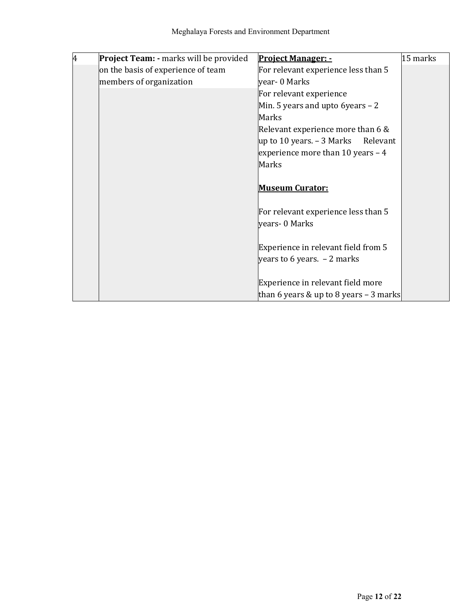| 4 | Project Team: - marks will be provided | <b>Project Manager: -</b>                | 15 marks |
|---|----------------------------------------|------------------------------------------|----------|
|   | on the basis of experience of team     | For relevant experience less than 5      |          |
|   | members of organization                | year- 0 Marks                            |          |
|   |                                        | For relevant experience                  |          |
|   |                                        | Min. 5 years and upto 6 years $-2$       |          |
|   |                                        | Marks                                    |          |
|   |                                        | Relevant experience more than $6 \&$     |          |
|   |                                        | up to 10 years. $-$ 3 Marks<br>Relevant  |          |
|   |                                        | experience more than 10 years $-4$       |          |
|   |                                        | Marks                                    |          |
|   |                                        |                                          |          |
|   |                                        | <b>Museum Curator:</b>                   |          |
|   |                                        | For relevant experience less than 5      |          |
|   |                                        | years- 0 Marks                           |          |
|   |                                        | Experience in relevant field from 5      |          |
|   |                                        | years to 6 years. $-2$ marks             |          |
|   |                                        |                                          |          |
|   |                                        | Experience in relevant field more        |          |
|   |                                        | than 6 years & up to 8 years $-$ 3 marks |          |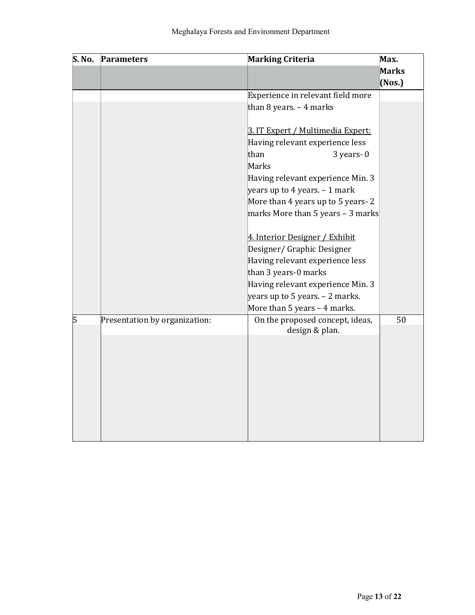| S. No. | <b>Marking Criteria</b><br><b>Parameters</b> |                                   | Max.         |
|--------|----------------------------------------------|-----------------------------------|--------------|
|        |                                              |                                   | <b>Marks</b> |
|        |                                              |                                   | $($ Nos. $)$ |
|        |                                              | Experience in relevant field more |              |
|        |                                              | than 8 years. $-4$ marks          |              |
|        |                                              |                                   |              |
|        |                                              | 3. IT Expert / Multimedia Expert: |              |
|        |                                              | Having relevant experience less   |              |
|        |                                              | than<br>$3$ years- $0$            |              |
|        |                                              | Marks                             |              |
|        |                                              | Having relevant experience Min. 3 |              |
|        |                                              | years up to 4 years. $-1$ mark    |              |
|        |                                              | More than 4 years up to 5 years-2 |              |
|        |                                              | marks More than 5 years - 3 marks |              |
|        |                                              |                                   |              |
|        |                                              | 4. Interior Designer / Exhibit    |              |
|        |                                              | Designer/ Graphic Designer        |              |
|        |                                              | Having relevant experience less   |              |
|        |                                              | than 3 years-0 marks              |              |
|        |                                              | Having relevant experience Min. 3 |              |
|        |                                              | years up to 5 years. $-$ 2 marks. |              |
|        |                                              | More than 5 years - 4 marks.      |              |
| 5      | Presentation by organization:                | On the proposed concept, ideas,   | 50           |
|        |                                              | design & plan.                    |              |
|        |                                              |                                   |              |
|        |                                              |                                   |              |
|        |                                              |                                   |              |
|        |                                              |                                   |              |
|        |                                              |                                   |              |
|        |                                              |                                   |              |
|        |                                              |                                   |              |
|        |                                              |                                   |              |
|        |                                              |                                   |              |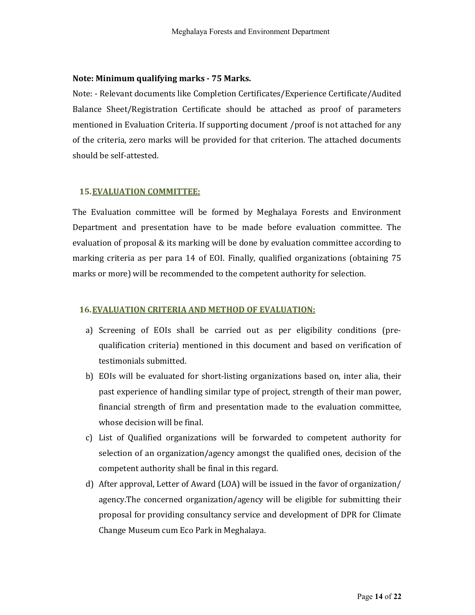### Note: Minimum qualifying marks - 75 Marks.

Note: - Relevant documents like Completion Certificates/Experience Certificate/Audited Balance Sheet/Registration Certificate should be attached as proof of parameters mentioned in Evaluation Criteria. If supporting document /proof is not attached for any of the criteria, zero marks will be provided for that criterion. The attached documents should be self-attested.

### 15.EVALUATION COMMITTEE:

The Evaluation committee will be formed by Meghalaya Forests and Environment Department and presentation have to be made before evaluation committee. The evaluation of proposal & its marking will be done by evaluation committee according to marking criteria as per para 14 of EOI. Finally, qualified organizations (obtaining 75 marks or more) will be recommended to the competent authority for selection.

## 16.EVALUATION CRITERIA AND METHOD OF EVALUATION:

- a) Screening of EOIs shall be carried out as per eligibility conditions (prequalification criteria) mentioned in this document and based on verification of testimonials submitted.
- b) EOIs will be evaluated for short-listing organizations based on, inter alia, their past experience of handling similar type of project, strength of their man power, financial strength of firm and presentation made to the evaluation committee, whose decision will be final.
- c) List of Qualified organizations will be forwarded to competent authority for selection of an organization/agency amongst the qualified ones, decision of the competent authority shall be final in this regard.
- d) After approval, Letter of Award (LOA) will be issued in the favor of organization/ agency.The concerned organization/agency will be eligible for submitting their proposal for providing consultancy service and development of DPR for Climate Change Museum cum Eco Park in Meghalaya.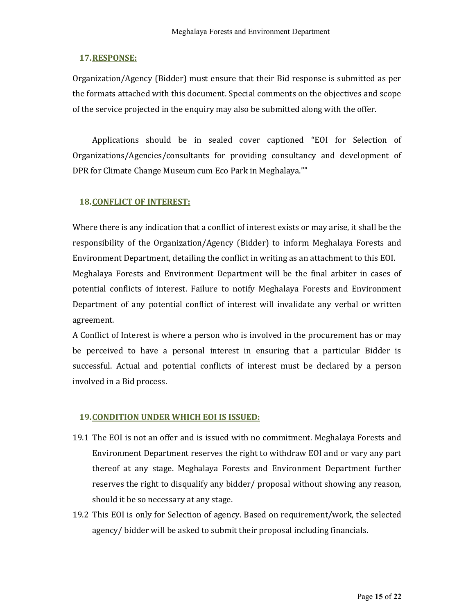## 17.RESPONSE:

Organization/Agency (Bidder) must ensure that their Bid response is submitted as per the formats attached with this document. Special comments on the objectives and scope of the service projected in the enquiry may also be submitted along with the offer.

Applications should be in sealed cover captioned "EOI for Selection of Organizations/Agencies/consultants for providing consultancy and development of DPR for Climate Change Museum cum Eco Park in Meghalaya.""

### 18.CONFLICT OF INTEREST:

Where there is any indication that a conflict of interest exists or may arise, it shall be the responsibility of the Organization/Agency (Bidder) to inform Meghalaya Forests and Environment Department, detailing the conflict in writing as an attachment to this EOI. Meghalaya Forests and Environment Department will be the final arbiter in cases of potential conflicts of interest. Failure to notify Meghalaya Forests and Environment Department of any potential conflict of interest will invalidate any verbal or written agreement.

A Conflict of Interest is where a person who is involved in the procurement has or may be perceived to have a personal interest in ensuring that a particular Bidder is successful. Actual and potential conflicts of interest must be declared by a person involved in a Bid process.

### 19.CONDITION UNDER WHICH EOI IS ISSUED:

- 19.1 The EOI is not an offer and is issued with no commitment. Meghalaya Forests and Environment Department reserves the right to withdraw EOI and or vary any part thereof at any stage. Meghalaya Forests and Environment Department further reserves the right to disqualify any bidder/ proposal without showing any reason, should it be so necessary at any stage.
- 19.2 This EOI is only for Selection of agency. Based on requirement/work, the selected agency/ bidder will be asked to submit their proposal including financials.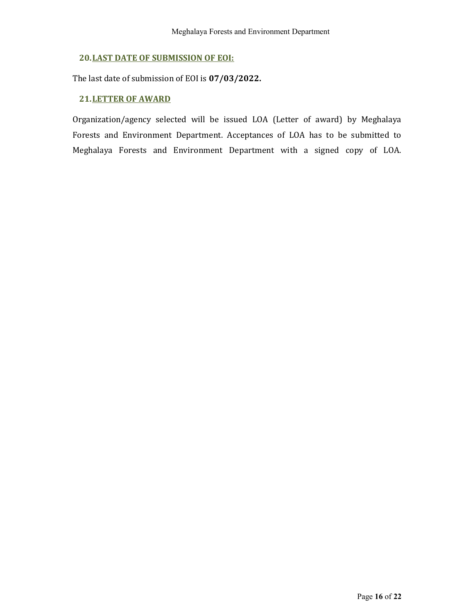# 20.LAST DATE OF SUBMISSION OF EOI:

The last date of submission of EOI is 07/03/2022.

### 21.LETTER OF AWARD

Organization/agency selected will be issued LOA (Letter of award) by Meghalaya Forests and Environment Department. Acceptances of LOA has to be submitted to Meghalaya Forests and Environment Department with a signed copy of LOA.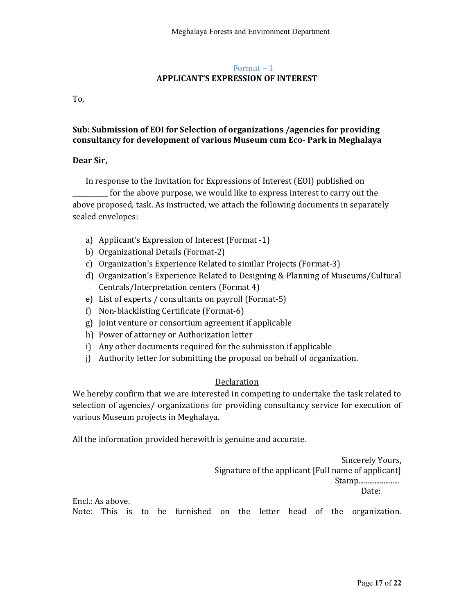## Format – 1 APPLICANT'S EXPRESSION OF INTEREST

To,

## Sub: Submission of EOI for Selection of organizations /agencies for providing consultancy for development of various Museum cum Eco- Park in Meghalaya

### Dear Sir,

In response to the Invitation for Expressions of Interest (EOI) published on \_\_\_\_\_\_\_\_\_\_\_ for the above purpose, we would like to express interest to carry out the above proposed, task. As instructed, we attach the following documents in separately sealed envelopes:

- a) Applicant's Expression of Interest (Format -1)
- b) Organizational Details (Format-2)
- c) Organization's Experience Related to similar Projects (Format-3)
- d) Organization's Experience Related to Designing & Planning of Museums/Cultural Centrals/Interpretation centers (Format 4)
- e) List of experts / consultants on payroll (Format-5)
- f) Non-blacklisting Certificate (Format-6)
- g) Joint venture or consortium agreement if applicable
- h) Power of attorney or Authorization letter
- i) Any other documents required for the submission if applicable
- j) Authority letter for submitting the proposal on behalf of organization.

## **Declaration**

We hereby confirm that we are interested in competing to undertake the task related to selection of agencies/ organizations for providing consultancy service for execution of various Museum projects in Meghalaya.

All the information provided herewith is genuine and accurate.

Sincerely Yours, Signature of the applicant [Full name of applicant] Stamp....................... Date: Encl.: As above. Note: This is to be furnished on the letter head of the organization.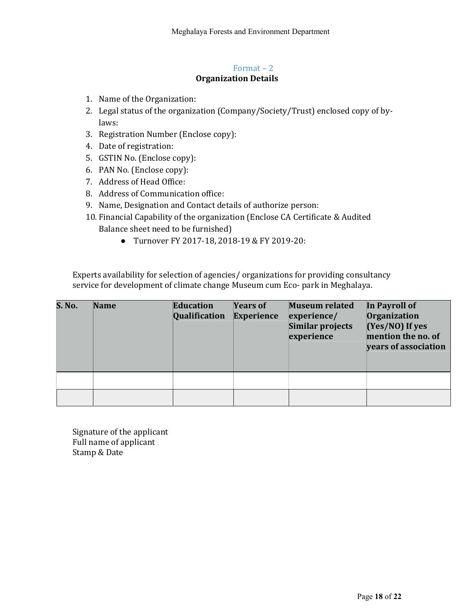#### Format – 2 Organization Details

- 1. Name of the Organization:
- 2. Legal status of the organization (Company/Society/Trust) enclosed copy of bylaws:
- 3. Registration Number (Enclose copy):
- 4. Date of registration:
- 5. GSTIN No. (Enclose copy):
- 6. PAN No. (Enclose copy):
- 7. Address of Head Office:
- 8. Address of Communication office:
- 9. Name, Designation and Contact details of authorize person:
- 10. Financial Capability of the organization (Enclose CA Certificate & Audited Balance sheet need to be furnished)
	- Turnover FY 2017-18, 2018-19 & FY 2019-20:

Experts availability for selection of agencies/ organizations for providing consultancy service for development of climate change Museum cum Eco- park in Meghalaya.

| <b>S. No.</b> | <b>Name</b> | Education<br>Qualification | <b>Years of</b><br><b>Experience</b> | <b>Museum related</b><br>experience/<br>Similar projects<br>experience | In Payroll of<br>Organization<br>$(Yes/NO)$ If yes<br>mention the no. of<br>years of association |
|---------------|-------------|----------------------------|--------------------------------------|------------------------------------------------------------------------|--------------------------------------------------------------------------------------------------|
|               |             |                            |                                      |                                                                        |                                                                                                  |
|               |             |                            |                                      |                                                                        |                                                                                                  |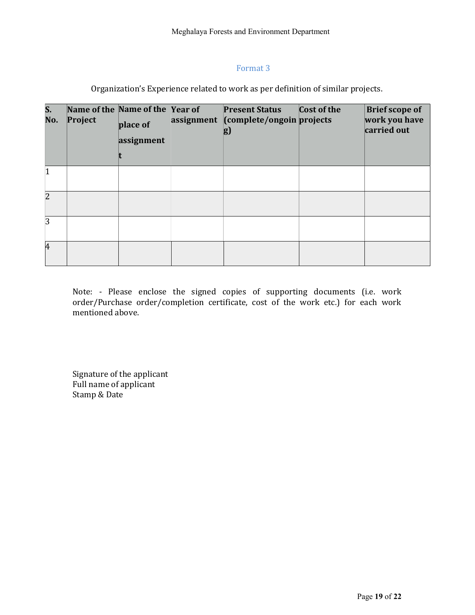## Format 3

Organization's Experience related to work as per definition of similar projects.

| $S_{-}$<br>No. | Project | Name of the Name of the Year of<br>place of<br>assignment | assignment | <b>Present Status</b><br>(complete/ongoin projects<br>g) | Cost of the | <b>Brief scope of</b><br>work you have<br>carried out |
|----------------|---------|-----------------------------------------------------------|------------|----------------------------------------------------------|-------------|-------------------------------------------------------|
| $\vert$ 1      |         |                                                           |            |                                                          |             |                                                       |
| $\overline{2}$ |         |                                                           |            |                                                          |             |                                                       |
| 3              |         |                                                           |            |                                                          |             |                                                       |
| 4              |         |                                                           |            |                                                          |             |                                                       |

Note: - Please enclose the signed copies of supporting documents (i.e. work order/Purchase order/completion certificate, cost of the work etc.) for each work mentioned above.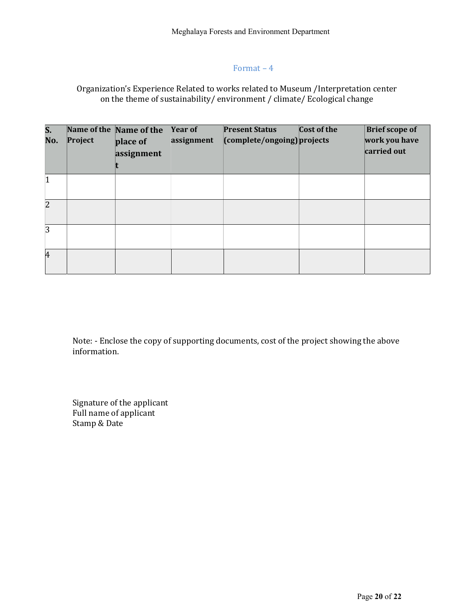## Format – 4

## Organization's Experience Related to works related to Museum /Interpretation center on the theme of sustainability/ environment / climate/ Ecological change

| S.<br>No.      | Project | Name of the Name of the<br>place of<br>assignment | <b>Year of</b><br>assignment | <b>Present Status</b><br>(complete/ongoing) projects | Cost of the | <b>Brief scope of</b><br>work you have<br>carried out |
|----------------|---------|---------------------------------------------------|------------------------------|------------------------------------------------------|-------------|-------------------------------------------------------|
| $\vert$ 1      |         |                                                   |                              |                                                      |             |                                                       |
| $\overline{2}$ |         |                                                   |                              |                                                      |             |                                                       |
| 3              |         |                                                   |                              |                                                      |             |                                                       |
| 4              |         |                                                   |                              |                                                      |             |                                                       |

Note: - Enclose the copy of supporting documents, cost of the project showing the above information.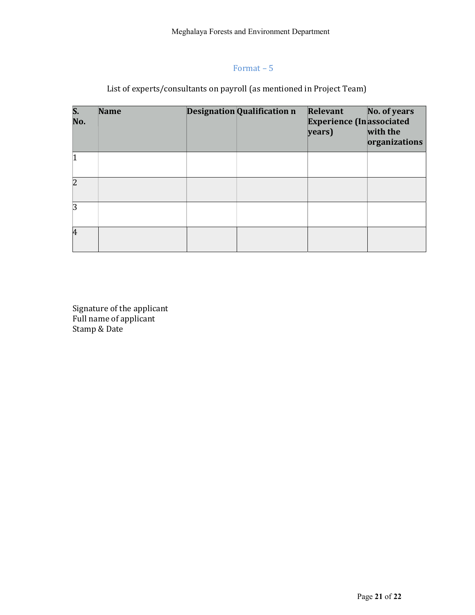# Format – 5

# List of experts/consultants on payroll (as mentioned in Project Team)

| $\overline{\mathsf{S}}$ .<br>No. | <b>Name</b> | <b>Designation Qualification n</b> | Relevant<br><b>Experience (In associated)</b><br>years) | No. of years<br>with the<br>organizations |
|----------------------------------|-------------|------------------------------------|---------------------------------------------------------|-------------------------------------------|
|                                  |             |                                    |                                                         |                                           |
| $\overline{2}$                   |             |                                    |                                                         |                                           |
| 3                                |             |                                    |                                                         |                                           |
| $\overline{4}$                   |             |                                    |                                                         |                                           |